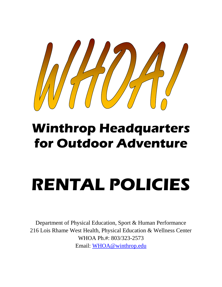

## **Winthrop Headquarters for Outdoor Adventure**

# **RENTAL POLICIES**

Department of Physical Education, Sport & Human Performance 216 Lois Rhame West Health, Physical Education & Wellness Center WHOA Ph.#: 803/323-2573 Email: [WHOA@winthrop.edu](mailto:WHOA@winthrop.edu)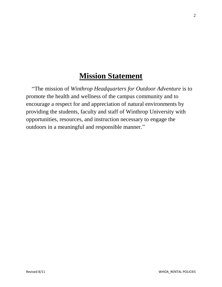## **Mission Statement**

 "The mission of *Winthrop Headquarters for Outdoor Adventure* is to promote the health and wellness of the campus community and to encourage a respect for and appreciation of natural environments by providing the students, faculty and staff of Winthrop University with opportunities, resources, and instruction necessary to engage the outdoors in a meaningful and responsible manner."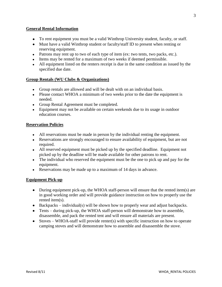#### **General Rental Information**

- To rent equipment you must be a valid Winthrop University student, faculty, or staff.
- Must have a valid Winthrop student or faculty/staff ID to present when renting or reserving equipment.
- Patrons may rent up to two of each type of item (ex: two tents, two packs, etc.).
- Items may be rented for a maximum of two weeks if deemed permissible.
- All equipment listed on the renters receipt is due in the same condition as issued by the specified due date.

#### **Group Rentals (WU Clubs & Organizations)**

- Group rentals are allowed and will be dealt with on an individual basis.
- Please contact WHOA a minimum of two weeks prior to the date the equipment is needed.
- Group Rental Agreement must be completed.
- Equipment may not be available on certain weekends due to its usage in outdoor education courses.

#### **Reservation Policies**

- All reservations must be made in person by the individual renting the equipment.
- Reservations are strongly encouraged to ensure availability of equipment, but are not required.
- All reserved equipment must be picked up by the specified deadline. Equipment not picked up by the deadline will be made available for other patrons to rent.
- The individual who reserved the equipment must be the one to pick up and pay for the equipment.
- Reservations may be made up to a maximum of 14 days in advance.

#### **Equipment Pick-up**

- During equipment pick-up, the WHOA staff-person will ensure that the rented item(s) are in good working order and will provide guidance instruction on how to properly use the rented item(s).
- Backpacks individual(s) will be shown how to properly wear and adjust backpacks.
- Tents during pick-up, the WHOA staff-person will demonstrate how to assemble, disassemble, and pack the rented tent and will ensure all materials are present.
- Stoves WHOA-staff will provide renter(s) with specific instruction on how to operate camping stoves and will demonstrate how to assemble and disassemble the stove.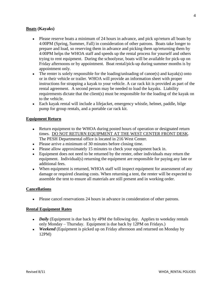#### **Boats (Kayaks)**

- Please reserve boats a minimum of 24 hours in advance, and pick up/return all boats by 4:00PM (Spring, Summer, Fall) in consideration of other patrons. Boats take longer to prepare and load, so reserving them in advance and picking them up/returning them by 4:00PM helps the WHOA staff and speeds up the rental process for yourself and others trying to rent equipment. During the schoolyear, boats will be available for pick-up on Friday afternoons or by appointment. Boat rental/pick-up during summer months is by appointment only.
- The renter is solely responsible for the loading/unloading of canoe(s) and kayak(s) onto or in their vehicle or trailer. WHOA will provide an information sheet with proper instructions for strapping a kayak to your vehicle. A car rack kit is provided as part of the rental agreement. A second person may be needed to load the kayaks. Liability requirements dictate that the client(s) must be responsible for the loading of the kayak on to the vehicle.
- Each kayak rental will include a lifejacket, emergency whistle, helmet, paddle, bilge pump for group rentals, and a portable car rack kit.

#### **Equipment Return**

- Return equipment to the WHOA during posted hours of operation or designated return times. DO NOT RETURN EQUIPMENT AT THE WEST CENTER FRONT DESK. The PESH Departmental office is located in 216 West Center.
- Please arrive a minimum of 30 minutes before closing time.
- Please allow approximately 15 minutes to check your equipment back in.
- Equipment does not need to be returned by the renter, other individuals may return the equipment. Individual(s) returning the equipment are responsible for paying any late or additional fees.
- When equipment is returned, WHOA staff will inspect equipment for assessment of any damage or required cleaning costs. When returning a tent, the renter will be expected to assemble the tent to ensure all materials are still present and in working order.

#### **Cancellations**

Please cancel reservations 24 hours in advance in consideration of other patrons.

#### **Rental Equipment Rates**

- *Daily* (Equipment is due back by 4PM the following day. Applies to weekday rentals only Monday – Thursday. Equipment is due back by 12PM on Fridays.)
- *Weekend* (Equipment is picked up on Friday afternoon and returned on Monday by 12PM)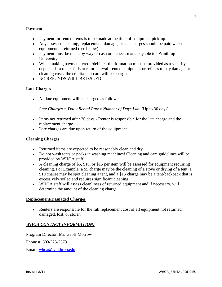#### **Payment**

- Payment for rented items is to be made at the time of equipment pick-up.
- Any assessed cleaning, replacement, damage, or late charges should be paid when equipment is returned (see below).
- Payment must be made by way of cash or a check made payable to "Winthrop University."
- When making payment, credit/debit card information must be provided as a security deposit. If a renter fails to return any/all rented equipment or refuses to pay damage or cleaning costs, the credit/debit card will be charged.
- NO REFUNDS WILL BE ISSUED!

#### **Late Charges**

All late equipment will be charged as follows:

*Late Charges = Daily Rental Rate x Number of Days Late* (Up to 30 days)

- Items not returned after 30 days Renter is responsible for the late charge and the replacement charge.
- Late charges are due upon return of the equipment.

#### **Cleaning Charges**

- Returned items are expected to be reasonably clean and dry.
- Do not wash tents or packs in washing machines! Cleaning and care guidelines will be provided by WHOA staff.
- $\bullet$  A cleaning charge of \$5, \$10, or \$15 per item will be assessed for equipment requiring cleaning. For Example: a \$5 charge may be the cleaning of a stove or drying of a tent, a \$10 charge may be spot cleaning a tent, and a \$15 charge may be a tent/backpack that is excessively soiled and requires significant cleaning.
- WHOA staff will assess cleanliness of returned equipment and if necessary, will determine the amount of the cleaning charge.

#### **Replacement/Damaged Charges**

Renters are responsible for the full replacement cost of all equipment not returned, damaged, lost, or stolen.

#### *WHOA CONTACT INFORMATION:*

Program Director: Mr. Geoff Morrow

Phone #: 803/323-2573

Email: [whoa@winthrop.edu](mailto:whoa@winthrop.edu)